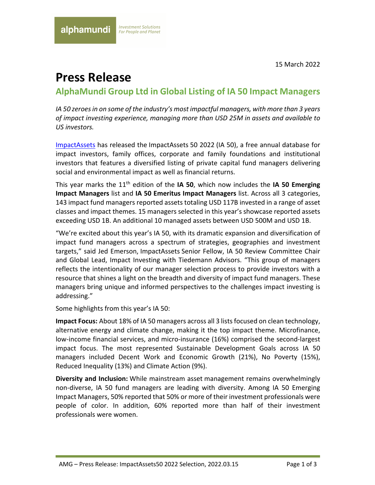15 March 2022

# **Press Release**

**AlphaMundi Group Ltd in Global Listing of IA 50 Impact Managers** 

*IA 50 zeroes in on some of the industry's most impactful managers, with more than 3 years of impact investing experience, managing more than USD 25M in assets and available to US investors.*

ImpactAssets has released the ImpactAssets 50 2022 (IA 50), a free annual database for impact investors, family offices, corporate and family foundations and institutional investors that features a diversified listing of private capital fund managers delivering social and environmental impact as well as financial returns.  

This year marks the 11th edition of the **IA 50**, which now includes the **IA 50 Emerging Impact Managers** list and **IA 50 Emeritus Impact Managers** list. Across all 3 categories, 143 impact fund managers reported assets totaling USD 117B invested in a range of asset classes and impact themes. 15 managers selected in this year's showcase reported assets exceeding USD 1B. An additional 10 managed assets between USD 500M and USD 1B.

"We're excited about this year's IA 50, with its dramatic expansion and diversification of impact fund managers across a spectrum of strategies, geographies and investment targets," said Jed Emerson, ImpactAssets Senior Fellow, IA 50 Review Committee Chair and Global Lead, Impact Investing with Tiedemann Advisors. "This group of managers reflects the intentionality of our manager selection process to provide investors with a resource that shines a light on the breadth and diversity of impact fund managers. These managers bring unique and informed perspectives to the challenges impact investing is addressing."

Some highlights from this year's IA 50:

**Impact Focus:** About 18% of IA 50 managers across all 3 lists focused on clean technology, alternative energy and climate change, making it the top impact theme. Microfinance, low-income financial services, and micro-insurance (16%) comprised the second-largest impact focus. The most represented Sustainable Development Goals across IA 50 managers included Decent Work and Economic Growth (21%), No Poverty (15%), Reduced Inequality (13%) and Climate Action (9%).

**Diversity and Inclusion:** While mainstream asset management remains overwhelmingly non-diverse, IA 50 fund managers are leading with diversity. Among IA 50 Emerging Impact Managers, 50% reported that 50% or more of their investment professionals were people of color. In addition, 60% reported more than half of their investment professionals were women.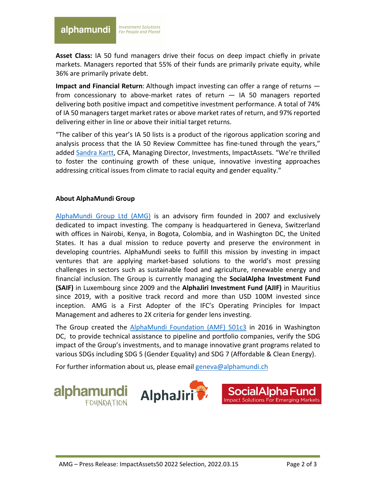#### alphamundi

**Asset Class:** IA 50 fund managers drive their focus on deep impact chiefly in private markets. Managers reported that 55% of their funds are primarily private equity, while 36% are primarily private debt.

**Impact and Financial Return**: Although impact investing can offer a range of returns from concessionary to above-market rates of return  $-$  IA 50 managers reported delivering both positive impact and competitive investment performance. A total of 74% of IA 50 managers target market rates or above market rates of return, and 97% reported delivering either in line or above their initial target returns.

"The caliber of this year's IA 50 lists is a product of the rigorous application scoring and analysis process that the IA 50 Review Committee has fine-tuned through the years," added Sandra Kartt, CFA, Managing Director, Investments, ImpactAssets. "We're thrilled to foster the continuing growth of these unique, innovative investing approaches addressing critical issues from climate to racial equity and gender equality."

## **About AlphaMundi Group**

AlphaMundi Group Ltd (AMG) is an advisory firm founded in 2007 and exclusively dedicated to impact investing. The company is headquartered in Geneva, Switzerland with offices in Nairobi, Kenya, in Bogota, Colombia, and in Washington DC, the United States. It has a dual mission to reduce poverty and preserve the environment in developing countries. AlphaMundi seeks to fulfill this mission by investing in impact ventures that are applying market-based solutions to the world's most pressing challenges in sectors such as sustainable food and agriculture, renewable energy and financial inclusion. The Group is currently managing the **SocialAlpha Investment Fund (SAIF)** in Luxembourg since 2009 and the **AlphaJiri Investment Fund (AJIF)** in Mauritius since 2019, with a positive track record and more than USD 100M invested since inception. AMG is a First Adopter of the IFC's Operating Principles for Impact Management and adheres to 2X criteria for gender lens investing.

The Group created the AlphaMundi Foundation (AMF) 501c3 in 2016 in Washington DC, to provide technical assistance to pipeline and portfolio companies, verify the SDG impact of the Group's investments, and to manage innovative grant programs related to various SDGs including SDG 5 (Gender Equality) and SDG 7 (Affordable & Clean Energy).

For further information about us, please email geneva@alphamundi.ch